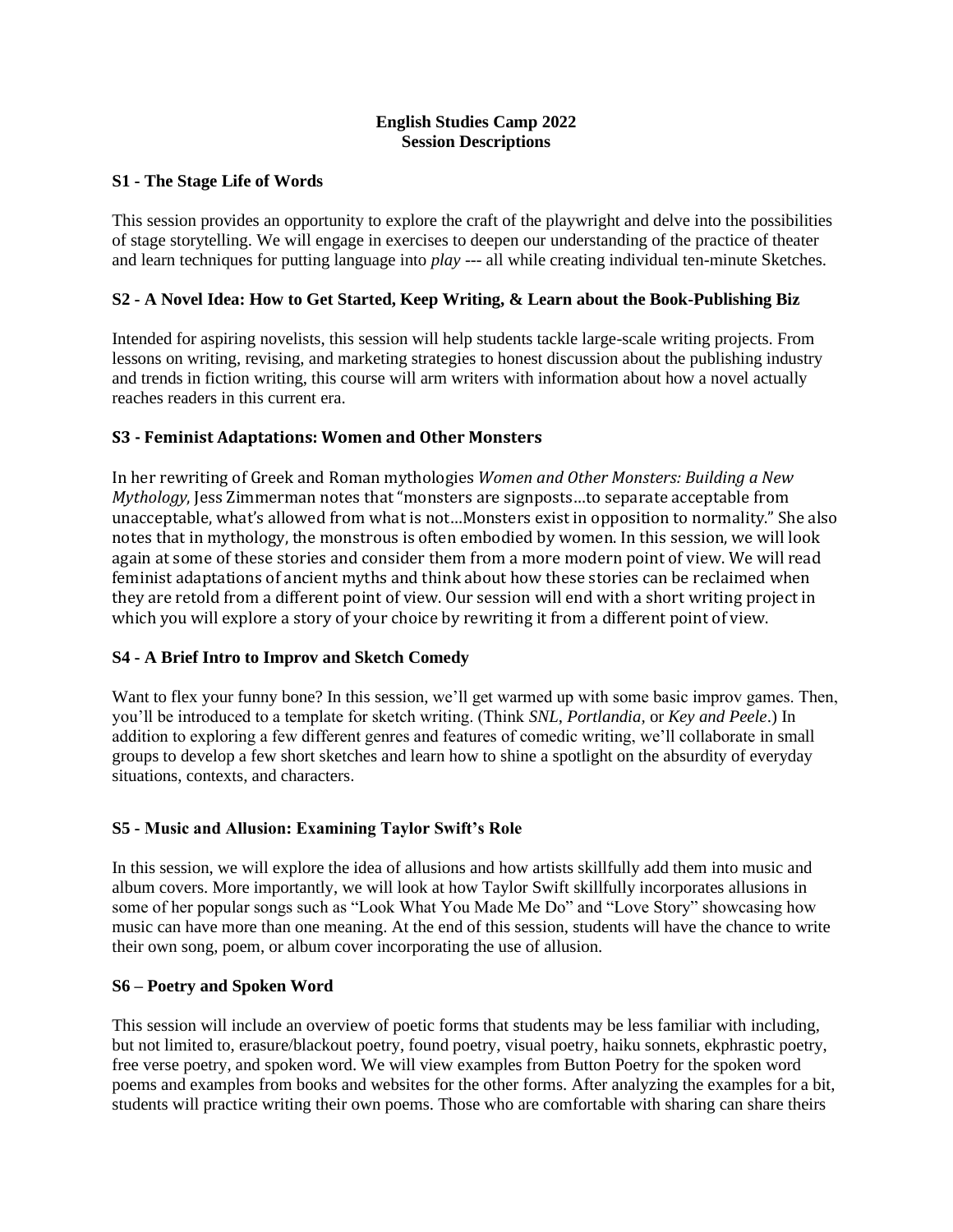### **English Studies Camp 2022 Session Descriptions**

### **S1 - The Stage Life of Words**

This session provides an opportunity to explore the craft of the playwright and delve into the possibilities of stage storytelling. We will engage in exercises to deepen our understanding of the practice of theater and learn techniques for putting language into *play* --- all while creating individual ten-minute Sketches.

## **S2 - A Novel Idea: How to Get Started, Keep Writing, & Learn about the Book-Publishing Biz**

Intended for aspiring novelists, this session will help students tackle large-scale writing projects. From lessons on writing, revising, and marketing strategies to honest discussion about the publishing industry and trends in fiction writing, this course will arm writers with information about how a novel actually reaches readers in this current era.

## **S3 - Feminist Adaptations: Women and Other Monsters**

In her rewriting of Greek and Roman mythologies *Women and Other Monsters: Building a New Mythology*, Jess Zimmerman notes that "monsters are signposts…to separate acceptable from unacceptable, what's allowed from what is not…Monsters exist in opposition to normality." She also notes that in mythology, the monstrous is often embodied by women. In this session, we will look again at some of these stories and consider them from a more modern point of view. We will read feminist adaptations of ancient myths and think about how these stories can be reclaimed when they are retold from a different point of view. Our session will end with a short writing project in which you will explore a story of your choice by rewriting it from a different point of view.

### **S4 - A Brief Intro to Improv and Sketch Comedy**

Want to flex your funny bone? In this session, we'll get warmed up with some basic improv games. Then, you'll be introduced to a template for sketch writing. (Think *SNL*, *Portlandia,* or *Key and Peele*.) In addition to exploring a few different genres and features of comedic writing, we'll collaborate in small groups to develop a few short sketches and learn how to shine a spotlight on the absurdity of everyday situations, contexts, and characters.

# **S5 - Music and Allusion: Examining Taylor Swift's Role**

In this session, we will explore the idea of allusions and how artists skillfully add them into music and album covers. More importantly, we will look at how Taylor Swift skillfully incorporates allusions in some of her popular songs such as "Look What You Made Me Do" and "Love Story" showcasing how music can have more than one meaning. At the end of this session, students will have the chance to write their own song, poem, or album cover incorporating the use of allusion.

### **S6 – Poetry and Spoken Word**

This session will include an overview of poetic forms that students may be less familiar with including, but not limited to, erasure/blackout poetry, found poetry, visual poetry, haiku sonnets, ekphrastic poetry, free verse poetry, and spoken word. We will view examples from Button Poetry for the spoken word poems and examples from books and websites for the other forms. After analyzing the examples for a bit, students will practice writing their own poems. Those who are comfortable with sharing can share theirs